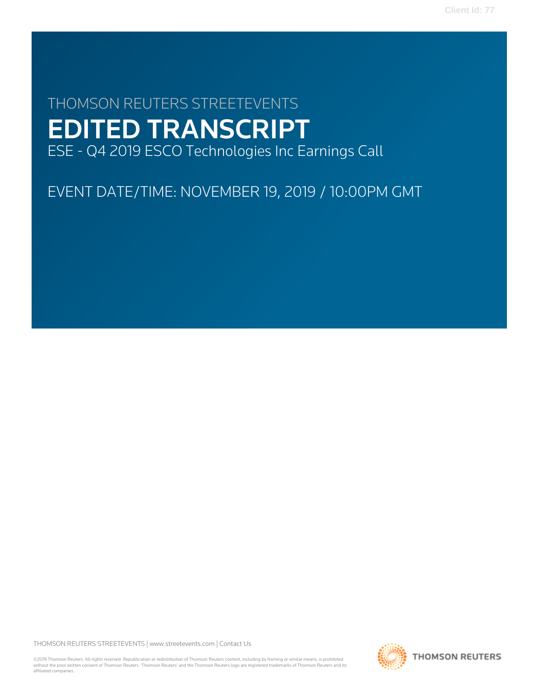# THOMSON REUTERS STREETEVENTS EDITED TRANSCRIPT ESE - Q4 2019 ESCO Technologies Inc Earnings Call

EVENT DATE/TIME: NOVEMBER 19, 2019 / 10:00PM GMT

THOMSON REUTERS STREETEVENTS | [www.streetevents.com](http://www.streetevents.com) | [Contact Us](http://www010.streetevents.com/contact.asp)

©2019 Thomson Reuters. All rights reserved. Republication or redistribution of Thomson Reuters content, including by framing or similar means, is prohibited without the prior written consent of Thomson Reuters. 'Thomson Reuters' and the Thomson Reuters logo are registered trademarks of Thomson Reuters and its affiliated companies.

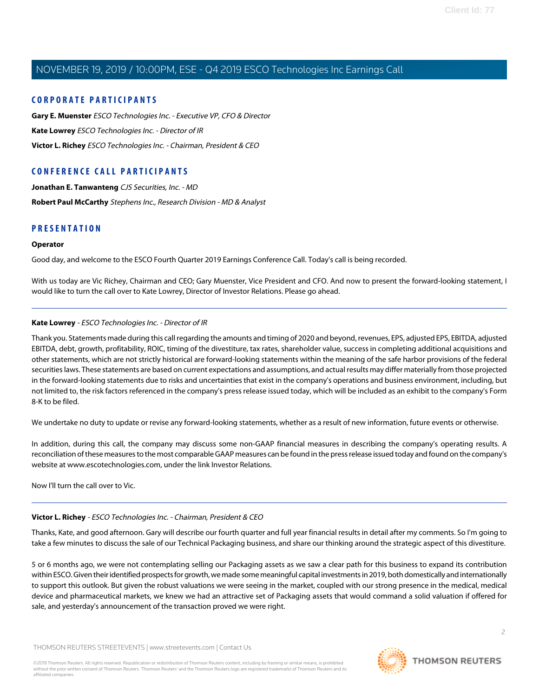#### **CORPORATE PARTICIPANTS**

**[Gary E. Muenster](#page-2-0)** ESCO Technologies Inc. - Executive VP, CFO & Director **[Kate Lowrey](#page-1-0)** ESCO Technologies Inc. - Director of IR **[Victor L. Richey](#page-1-1)** ESCO Technologies Inc. - Chairman, President & CEO

## **CONFERENCE CALL PARTICIPANTS**

**[Jonathan E. Tanwanteng](#page-3-0)** CJS Securities, Inc. - MD **[Robert Paul McCarthy](#page-5-0)** Stephens Inc., Research Division - MD & Analyst

### **PRESENTATION**

#### **Operator**

Good day, and welcome to the ESCO Fourth Quarter 2019 Earnings Conference Call. Today's call is being recorded.

<span id="page-1-0"></span>With us today are Vic Richey, Chairman and CEO; Gary Muenster, Vice President and CFO. And now to present the forward-looking statement, I would like to turn the call over to Kate Lowrey, Director of Investor Relations. Please go ahead.

#### **Kate Lowrey** - ESCO Technologies Inc. - Director of IR

Thank you. Statements made during this call regarding the amounts and timing of 2020 and beyond, revenues, EPS, adjusted EPS, EBITDA, adjusted EBITDA, debt, growth, profitability, ROIC, timing of the divestiture, tax rates, shareholder value, success in completing additional acquisitions and other statements, which are not strictly historical are forward-looking statements within the meaning of the safe harbor provisions of the federal securities laws. These statements are based on current expectations and assumptions, and actual results may differ materially from those projected in the forward-looking statements due to risks and uncertainties that exist in the company's operations and business environment, including, but not limited to, the risk factors referenced in the company's press release issued today, which will be included as an exhibit to the company's Form 8-K to be filed.

We undertake no duty to update or revise any forward-looking statements, whether as a result of new information, future events or otherwise.

In addition, during this call, the company may discuss some non-GAAP financial measures in describing the company's operating results. A reconciliation of these measures to the most comparable GAAP measures can be found in the press release issued today and found on the company's website at www.escotechnologies.com, under the link Investor Relations.

<span id="page-1-1"></span>Now I'll turn the call over to Vic.

#### **Victor L. Richey** - ESCO Technologies Inc. - Chairman, President & CEO

Thanks, Kate, and good afternoon. Gary will describe our fourth quarter and full year financial results in detail after my comments. So I'm going to take a few minutes to discuss the sale of our Technical Packaging business, and share our thinking around the strategic aspect of this divestiture.

5 or 6 months ago, we were not contemplating selling our Packaging assets as we saw a clear path for this business to expand its contribution within ESCO. Given their identified prospects for growth, we made some meaningful capital investments in 2019, both domestically and internationally to support this outlook. But given the robust valuations we were seeing in the market, coupled with our strong presence in the medical, medical device and pharmaceutical markets, we knew we had an attractive set of Packaging assets that would command a solid valuation if offered for sale, and yesterday's announcement of the transaction proved we were right.

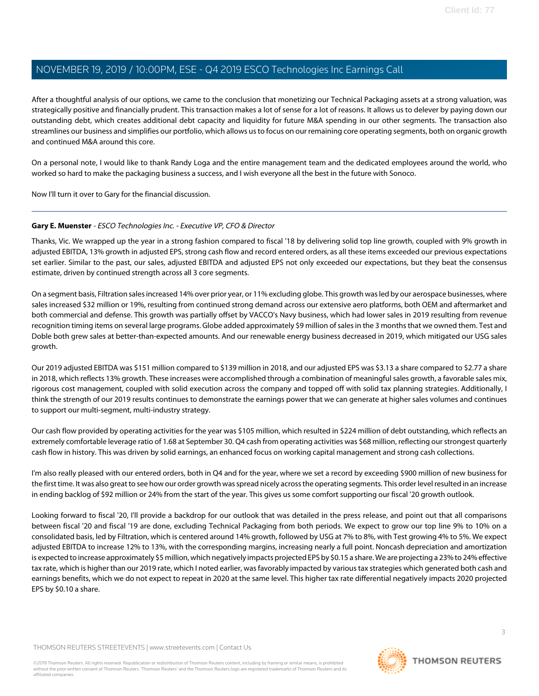After a thoughtful analysis of our options, we came to the conclusion that monetizing our Technical Packaging assets at a strong valuation, was strategically positive and financially prudent. This transaction makes a lot of sense for a lot of reasons. It allows us to delever by paying down our outstanding debt, which creates additional debt capacity and liquidity for future M&A spending in our other segments. The transaction also streamlines our business and simplifies our portfolio, which allows us to focus on our remaining core operating segments, both on organic growth and continued M&A around this core.

On a personal note, I would like to thank Randy Loga and the entire management team and the dedicated employees around the world, who worked so hard to make the packaging business a success, and I wish everyone all the best in the future with Sonoco.

<span id="page-2-0"></span>Now I'll turn it over to Gary for the financial discussion.

#### **Gary E. Muenster** - ESCO Technologies Inc. - Executive VP, CFO & Director

Thanks, Vic. We wrapped up the year in a strong fashion compared to fiscal '18 by delivering solid top line growth, coupled with 9% growth in adjusted EBITDA, 13% growth in adjusted EPS, strong cash flow and record entered orders, as all these items exceeded our previous expectations set earlier. Similar to the past, our sales, adjusted EBITDA and adjusted EPS not only exceeded our expectations, but they beat the consensus estimate, driven by continued strength across all 3 core segments.

On a segment basis, Filtration sales increased 14% over prior year, or 11% excluding globe. This growth was led by our aerospace businesses, where sales increased \$32 million or 19%, resulting from continued strong demand across our extensive aero platforms, both OEM and aftermarket and both commercial and defense. This growth was partially offset by VACCO's Navy business, which had lower sales in 2019 resulting from revenue recognition timing items on several large programs. Globe added approximately \$9 million of sales in the 3 months that we owned them. Test and Doble both grew sales at better-than-expected amounts. And our renewable energy business decreased in 2019, which mitigated our USG sales growth.

Our 2019 adjusted EBITDA was \$151 million compared to \$139 million in 2018, and our adjusted EPS was \$3.13 a share compared to \$2.77 a share in 2018, which reflects 13% growth. These increases were accomplished through a combination of meaningful sales growth, a favorable sales mix, rigorous cost management, coupled with solid execution across the company and topped off with solid tax planning strategies. Additionally, I think the strength of our 2019 results continues to demonstrate the earnings power that we can generate at higher sales volumes and continues to support our multi-segment, multi-industry strategy.

Our cash flow provided by operating activities for the year was \$105 million, which resulted in \$224 million of debt outstanding, which reflects an extremely comfortable leverage ratio of 1.68 at September 30. Q4 cash from operating activities was \$68 million, reflecting our strongest quarterly cash flow in history. This was driven by solid earnings, an enhanced focus on working capital management and strong cash collections.

I'm also really pleased with our entered orders, both in Q4 and for the year, where we set a record by exceeding \$900 million of new business for the first time. It was also great to see how our order growth was spread nicely across the operating segments. This order level resulted in an increase in ending backlog of \$92 million or 24% from the start of the year. This gives us some comfort supporting our fiscal '20 growth outlook.

Looking forward to fiscal '20, I'll provide a backdrop for our outlook that was detailed in the press release, and point out that all comparisons between fiscal '20 and fiscal '19 are done, excluding Technical Packaging from both periods. We expect to grow our top line 9% to 10% on a consolidated basis, led by Filtration, which is centered around 14% growth, followed by USG at 7% to 8%, with Test growing 4% to 5%. We expect adjusted EBITDA to increase 12% to 13%, with the corresponding margins, increasing nearly a full point. Noncash depreciation and amortization is expected to increase approximately \$5 million, which negatively impacts projected EPS by \$0.15 a share. We are projecting a 23% to 24% effective tax rate, which is higher than our 2019 rate, which I noted earlier, was favorably impacted by various tax strategies which generated both cash and earnings benefits, which we do not expect to repeat in 2020 at the same level. This higher tax rate differential negatively impacts 2020 projected EPS by \$0.10 a share.

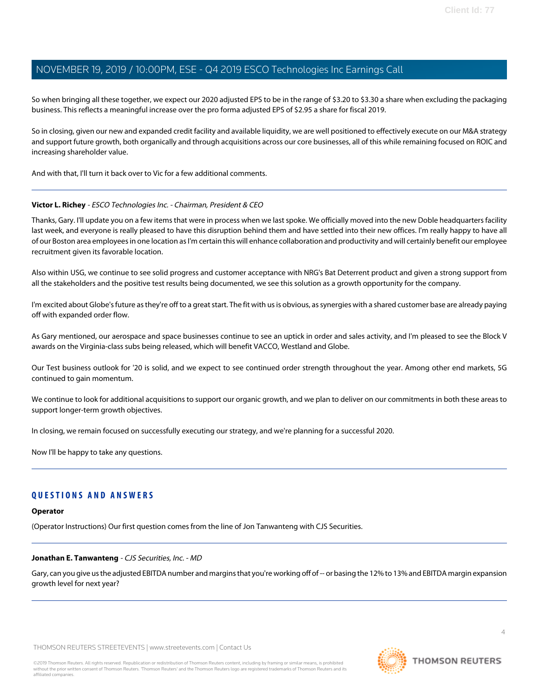So when bringing all these together, we expect our 2020 adjusted EPS to be in the range of \$3.20 to \$3.30 a share when excluding the packaging business. This reflects a meaningful increase over the pro forma adjusted EPS of \$2.95 a share for fiscal 2019.

So in closing, given our new and expanded credit facility and available liquidity, we are well positioned to effectively execute on our M&A strategy and support future growth, both organically and through acquisitions across our core businesses, all of this while remaining focused on ROIC and increasing shareholder value.

And with that, I'll turn it back over to Vic for a few additional comments.

#### **Victor L. Richey** - ESCO Technologies Inc. - Chairman, President & CEO

Thanks, Gary. I'll update you on a few items that were in process when we last spoke. We officially moved into the new Doble headquarters facility last week, and everyone is really pleased to have this disruption behind them and have settled into their new offices. I'm really happy to have all of our Boston area employees in one location as I'm certain this will enhance collaboration and productivity and will certainly benefit our employee recruitment given its favorable location.

Also within USG, we continue to see solid progress and customer acceptance with NRG's Bat Deterrent product and given a strong support from all the stakeholders and the positive test results being documented, we see this solution as a growth opportunity for the company.

I'm excited about Globe's future as they're off to a great start. The fit with us is obvious, as synergies with a shared customer base are already paying off with expanded order flow.

As Gary mentioned, our aerospace and space businesses continue to see an uptick in order and sales activity, and I'm pleased to see the Block V awards on the Virginia-class subs being released, which will benefit VACCO, Westland and Globe.

Our Test business outlook for '20 is solid, and we expect to see continued order strength throughout the year. Among other end markets, 5G continued to gain momentum.

We continue to look for additional acquisitions to support our organic growth, and we plan to deliver on our commitments in both these areas to support longer-term growth objectives.

In closing, we remain focused on successfully executing our strategy, and we're planning for a successful 2020.

Now I'll be happy to take any questions.

### <span id="page-3-0"></span>**QUESTIONS AND ANSWERS**

#### **Operator**

(Operator Instructions) Our first question comes from the line of Jon Tanwanteng with CJS Securities.

#### **Jonathan E. Tanwanteng** - CJS Securities, Inc. - MD

Gary, can you give us the adjusted EBITDA number and margins that you're working off of -- or basing the 12% to 13% and EBITDA margin expansion growth level for next year?

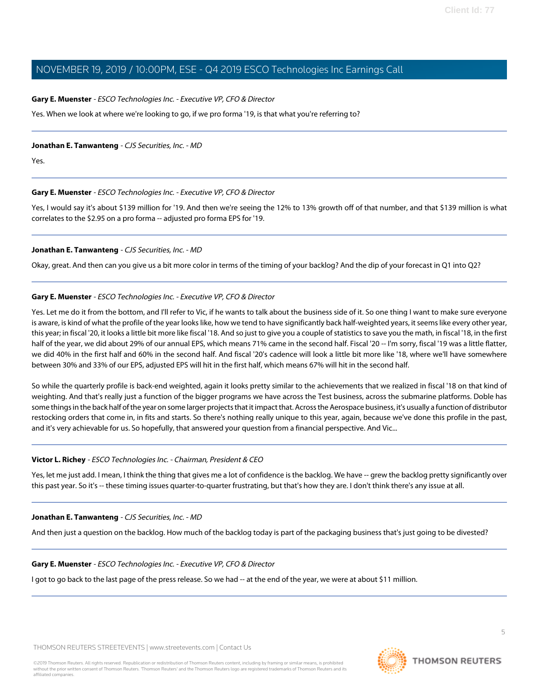#### **Gary E. Muenster** - ESCO Technologies Inc. - Executive VP, CFO & Director

Yes. When we look at where we're looking to go, if we pro forma '19, is that what you're referring to?

#### **Jonathan E. Tanwanteng** - CJS Securities, Inc. - MD

Yes.

#### **Gary E. Muenster** - ESCO Technologies Inc. - Executive VP, CFO & Director

Yes, I would say it's about \$139 million for '19. And then we're seeing the 12% to 13% growth off of that number, and that \$139 million is what correlates to the \$2.95 on a pro forma -- adjusted pro forma EPS for '19.

#### **Jonathan E. Tanwanteng** - CJS Securities, Inc. - MD

Okay, great. And then can you give us a bit more color in terms of the timing of your backlog? And the dip of your forecast in Q1 into Q2?

#### **Gary E. Muenster** - ESCO Technologies Inc. - Executive VP, CFO & Director

Yes. Let me do it from the bottom, and I'll refer to Vic, if he wants to talk about the business side of it. So one thing I want to make sure everyone is aware, is kind of what the profile of the year looks like, how we tend to have significantly back half-weighted years, it seems like every other year, this year; in fiscal '20, it looks a little bit more like fiscal '18. And so just to give you a couple of statistics to save you the math, in fiscal '18, in the first half of the year, we did about 29% of our annual EPS, which means 71% came in the second half. Fiscal '20 -- I'm sorry, fiscal '19 was a little flatter, we did 40% in the first half and 60% in the second half. And fiscal '20's cadence will look a little bit more like '18, where we'll have somewhere between 30% and 33% of our EPS, adjusted EPS will hit in the first half, which means 67% will hit in the second half.

So while the quarterly profile is back-end weighted, again it looks pretty similar to the achievements that we realized in fiscal '18 on that kind of weighting. And that's really just a function of the bigger programs we have across the Test business, across the submarine platforms. Doble has some things in the back half of the year on some larger projects that it impact that. Across the Aerospace business, it's usually a function of distributor restocking orders that come in, in fits and starts. So there's nothing really unique to this year, again, because we've done this profile in the past, and it's very achievable for us. So hopefully, that answered your question from a financial perspective. And Vic...

#### **Victor L. Richey** - ESCO Technologies Inc. - Chairman, President & CEO

Yes, let me just add. I mean, I think the thing that gives me a lot of confidence is the backlog. We have -- grew the backlog pretty significantly over this past year. So it's -- these timing issues quarter-to-quarter frustrating, but that's how they are. I don't think there's any issue at all.

#### **Jonathan E. Tanwanteng** - CJS Securities, Inc. - MD

And then just a question on the backlog. How much of the backlog today is part of the packaging business that's just going to be divested?

#### **Gary E. Muenster** - ESCO Technologies Inc. - Executive VP, CFO & Director

I got to go back to the last page of the press release. So we had -- at the end of the year, we were at about \$11 million.

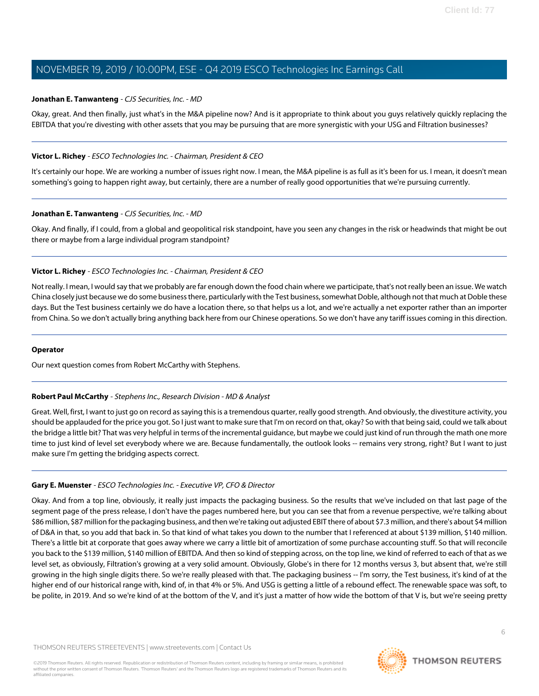#### **Jonathan E. Tanwanteng** - CJS Securities, Inc. - MD

Okay, great. And then finally, just what's in the M&A pipeline now? And is it appropriate to think about you guys relatively quickly replacing the EBITDA that you're divesting with other assets that you may be pursuing that are more synergistic with your USG and Filtration businesses?

#### **Victor L. Richey** - ESCO Technologies Inc. - Chairman, President & CEO

It's certainly our hope. We are working a number of issues right now. I mean, the M&A pipeline is as full as it's been for us. I mean, it doesn't mean something's going to happen right away, but certainly, there are a number of really good opportunities that we're pursuing currently.

#### **Jonathan E. Tanwanteng** - CJS Securities, Inc. - MD

Okay. And finally, if I could, from a global and geopolitical risk standpoint, have you seen any changes in the risk or headwinds that might be out there or maybe from a large individual program standpoint?

#### **Victor L. Richey** - ESCO Technologies Inc. - Chairman, President & CEO

Not really. I mean, I would say that we probably are far enough down the food chain where we participate, that's not really been an issue. We watch China closely just because we do some business there, particularly with the Test business, somewhat Doble, although not that much at Doble these days. But the Test business certainly we do have a location there, so that helps us a lot, and we're actually a net exporter rather than an importer from China. So we don't actually bring anything back here from our Chinese operations. So we don't have any tariff issues coming in this direction.

#### <span id="page-5-0"></span>**Operator**

Our next question comes from Robert McCarthy with Stephens.

#### **Robert Paul McCarthy** - Stephens Inc., Research Division - MD & Analyst

Great. Well, first, I want to just go on record as saying this is a tremendous quarter, really good strength. And obviously, the divestiture activity, you should be applauded for the price you got. So I just want to make sure that I'm on record on that, okay? So with that being said, could we talk about the bridge a little bit? That was very helpful in terms of the incremental guidance, but maybe we could just kind of run through the math one more time to just kind of level set everybody where we are. Because fundamentally, the outlook looks -- remains very strong, right? But I want to just make sure I'm getting the bridging aspects correct.

#### **Gary E. Muenster** - ESCO Technologies Inc. - Executive VP, CFO & Director

Okay. And from a top line, obviously, it really just impacts the packaging business. So the results that we've included on that last page of the segment page of the press release, I don't have the pages numbered here, but you can see that from a revenue perspective, we're talking about \$86 million, \$87 million for the packaging business, and then we're taking out adjusted EBIT there of about \$7.3 million, and there's about \$4 million of D&A in that, so you add that back in. So that kind of what takes you down to the number that I referenced at about \$139 million, \$140 million. There's a little bit at corporate that goes away where we carry a little bit of amortization of some purchase accounting stuff. So that will reconcile you back to the \$139 million, \$140 million of EBITDA. And then so kind of stepping across, on the top line, we kind of referred to each of that as we level set, as obviously, Filtration's growing at a very solid amount. Obviously, Globe's in there for 12 months versus 3, but absent that, we're still growing in the high single digits there. So we're really pleased with that. The packaging business -- I'm sorry, the Test business, it's kind of at the higher end of our historical range with, kind of, in that 4% or 5%. And USG is getting a little of a rebound effect. The renewable space was soft, to be polite, in 2019. And so we're kind of at the bottom of the V, and it's just a matter of how wide the bottom of that V is, but we're seeing pretty

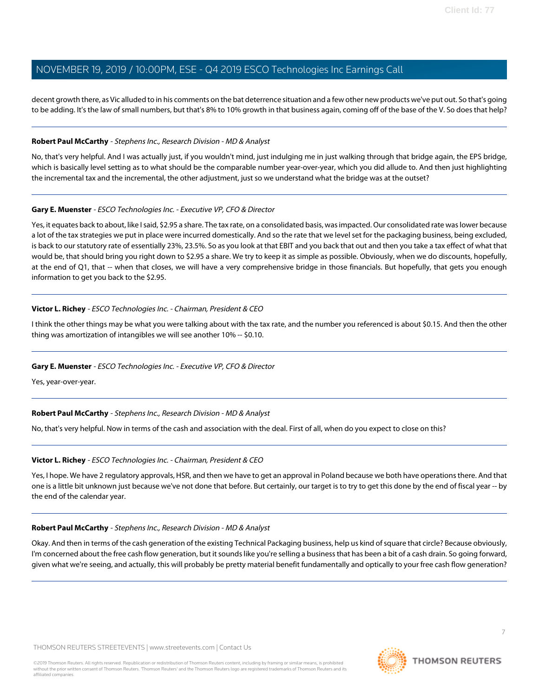decent growth there, as Vic alluded to in his comments on the bat deterrence situation and a few other new products we've put out. So that's going to be adding. It's the law of small numbers, but that's 8% to 10% growth in that business again, coming off of the base of the V. So does that help?

#### **Robert Paul McCarthy** - Stephens Inc., Research Division - MD & Analyst

No, that's very helpful. And I was actually just, if you wouldn't mind, just indulging me in just walking through that bridge again, the EPS bridge, which is basically level setting as to what should be the comparable number year-over-year, which you did allude to. And then just highlighting the incremental tax and the incremental, the other adjustment, just so we understand what the bridge was at the outset?

#### **Gary E. Muenster** - ESCO Technologies Inc. - Executive VP, CFO & Director

Yes, it equates back to about, like I said, \$2.95 a share. The tax rate, on a consolidated basis, was impacted. Our consolidated rate was lower because a lot of the tax strategies we put in place were incurred domestically. And so the rate that we level set for the packaging business, being excluded, is back to our statutory rate of essentially 23%, 23.5%. So as you look at that EBIT and you back that out and then you take a tax effect of what that would be, that should bring you right down to \$2.95 a share. We try to keep it as simple as possible. Obviously, when we do discounts, hopefully, at the end of Q1, that -- when that closes, we will have a very comprehensive bridge in those financials. But hopefully, that gets you enough information to get you back to the \$2.95.

#### **Victor L. Richey** - ESCO Technologies Inc. - Chairman, President & CEO

I think the other things may be what you were talking about with the tax rate, and the number you referenced is about \$0.15. And then the other thing was amortization of intangibles we will see another 10% -- \$0.10.

#### **Gary E. Muenster** - ESCO Technologies Inc. - Executive VP, CFO & Director

Yes, year-over-year.

#### **Robert Paul McCarthy** - Stephens Inc., Research Division - MD & Analyst

No, that's very helpful. Now in terms of the cash and association with the deal. First of all, when do you expect to close on this?

#### **Victor L. Richey** - ESCO Technologies Inc. - Chairman, President & CEO

Yes, I hope. We have 2 regulatory approvals, HSR, and then we have to get an approval in Poland because we both have operations there. And that one is a little bit unknown just because we've not done that before. But certainly, our target is to try to get this done by the end of fiscal year -- by the end of the calendar year.

#### **Robert Paul McCarthy** - Stephens Inc., Research Division - MD & Analyst

Okay. And then in terms of the cash generation of the existing Technical Packaging business, help us kind of square that circle? Because obviously, I'm concerned about the free cash flow generation, but it sounds like you're selling a business that has been a bit of a cash drain. So going forward, given what we're seeing, and actually, this will probably be pretty material benefit fundamentally and optically to your free cash flow generation?

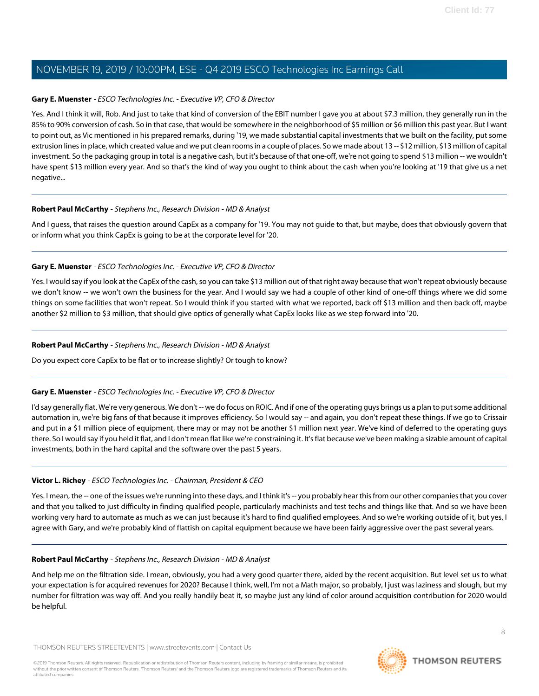#### **Gary E. Muenster** - ESCO Technologies Inc. - Executive VP, CFO & Director

Yes. And I think it will, Rob. And just to take that kind of conversion of the EBIT number I gave you at about \$7.3 million, they generally run in the 85% to 90% conversion of cash. So in that case, that would be somewhere in the neighborhood of \$5 million or \$6 million this past year. But I want to point out, as Vic mentioned in his prepared remarks, during '19, we made substantial capital investments that we built on the facility, put some extrusion lines in place, which created value and we put clean rooms in a couple of places. So we made about 13 -- \$12 million, \$13 million of capital investment. So the packaging group in total is a negative cash, but it's because of that one-off, we're not going to spend \$13 million -- we wouldn't have spent \$13 million every year. And so that's the kind of way you ought to think about the cash when you're looking at '19 that give us a net negative...

#### **Robert Paul McCarthy** - Stephens Inc., Research Division - MD & Analyst

And I guess, that raises the question around CapEx as a company for '19. You may not guide to that, but maybe, does that obviously govern that or inform what you think CapEx is going to be at the corporate level for '20.

#### **Gary E. Muenster** - ESCO Technologies Inc. - Executive VP, CFO & Director

Yes. I would say if you look at the CapEx of the cash, so you can take \$13 million out of that right away because that won't repeat obviously because we don't know -- we won't own the business for the year. And I would say we had a couple of other kind of one-off things where we did some things on some facilities that won't repeat. So I would think if you started with what we reported, back off \$13 million and then back off, maybe another \$2 million to \$3 million, that should give optics of generally what CapEx looks like as we step forward into '20.

#### **Robert Paul McCarthy** - Stephens Inc., Research Division - MD & Analyst

Do you expect core CapEx to be flat or to increase slightly? Or tough to know?

#### **Gary E. Muenster** - ESCO Technologies Inc. - Executive VP, CFO & Director

I'd say generally flat. We're very generous. We don't -- we do focus on ROIC. And if one of the operating guys brings us a plan to put some additional automation in, we're big fans of that because it improves efficiency. So I would say -- and again, you don't repeat these things. If we go to Crissair and put in a \$1 million piece of equipment, there may or may not be another \$1 million next year. We've kind of deferred to the operating guys there. So I would say if you held it flat, and I don't mean flat like we're constraining it. It's flat because we've been making a sizable amount of capital investments, both in the hard capital and the software over the past 5 years.

#### **Victor L. Richey** - ESCO Technologies Inc. - Chairman, President & CEO

Yes. I mean, the -- one of the issues we're running into these days, and I think it's -- you probably hear this from our other companies that you cover and that you talked to just difficulty in finding qualified people, particularly machinists and test techs and things like that. And so we have been working very hard to automate as much as we can just because it's hard to find qualified employees. And so we're working outside of it, but yes, I agree with Gary, and we're probably kind of flattish on capital equipment because we have been fairly aggressive over the past several years.

#### **Robert Paul McCarthy** - Stephens Inc., Research Division - MD & Analyst

And help me on the filtration side. I mean, obviously, you had a very good quarter there, aided by the recent acquisition. But level set us to what your expectation is for acquired revenues for 2020? Because I think, well, I'm not a Math major, so probably, I just was laziness and slough, but my number for filtration was way off. And you really handily beat it, so maybe just any kind of color around acquisition contribution for 2020 would be helpful.

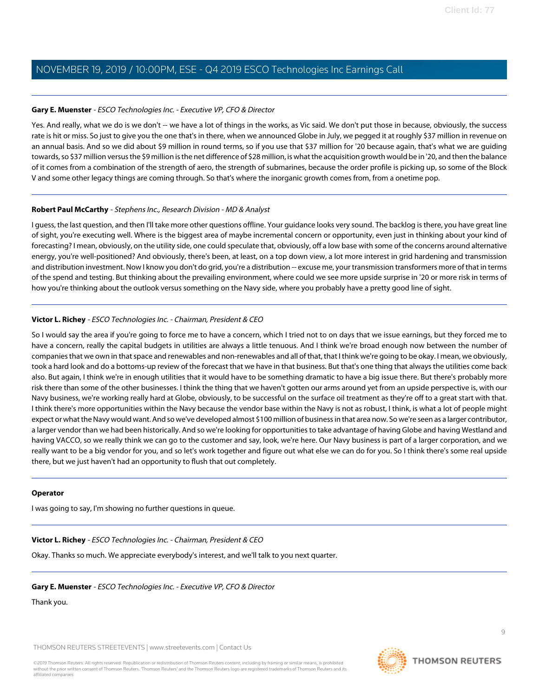#### **Gary E. Muenster** - ESCO Technologies Inc. - Executive VP, CFO & Director

Yes. And really, what we do is we don't -- we have a lot of things in the works, as Vic said. We don't put those in because, obviously, the success rate is hit or miss. So just to give you the one that's in there, when we announced Globe in July, we pegged it at roughly \$37 million in revenue on an annual basis. And so we did about \$9 million in round terms, so if you use that \$37 million for '20 because again, that's what we are guiding towards, so \$37 million versus the \$9 million is the net difference of \$28 million, is what the acquisition growth would be in '20, and then the balance of it comes from a combination of the strength of aero, the strength of submarines, because the order profile is picking up, so some of the Block V and some other legacy things are coming through. So that's where the inorganic growth comes from, from a onetime pop.

#### **Robert Paul McCarthy** - Stephens Inc., Research Division - MD & Analyst

I guess, the last question, and then I'll take more other questions offline. Your guidance looks very sound. The backlog is there, you have great line of sight, you're executing well. Where is the biggest area of maybe incremental concern or opportunity, even just in thinking about your kind of forecasting? I mean, obviously, on the utility side, one could speculate that, obviously, off a low base with some of the concerns around alternative energy, you're well-positioned? And obviously, there's been, at least, on a top down view, a lot more interest in grid hardening and transmission and distribution investment. Now I know you don't do grid, you're a distribution -- excuse me, your transmission transformers more of that in terms of the spend and testing. But thinking about the prevailing environment, where could we see more upside surprise in '20 or more risk in terms of how you're thinking about the outlook versus something on the Navy side, where you probably have a pretty good line of sight.

#### **Victor L. Richey** - ESCO Technologies Inc. - Chairman, President & CEO

So I would say the area if you're going to force me to have a concern, which I tried not to on days that we issue earnings, but they forced me to have a concern, really the capital budgets in utilities are always a little tenuous. And I think we're broad enough now between the number of companies that we own in that space and renewables and non-renewables and all of that, that I think we're going to be okay. I mean, we obviously, took a hard look and do a bottoms-up review of the forecast that we have in that business. But that's one thing that always the utilities come back also. But again, I think we're in enough utilities that it would have to be something dramatic to have a big issue there. But there's probably more risk there than some of the other businesses. I think the thing that we haven't gotten our arms around yet from an upside perspective is, with our Navy business, we're working really hard at Globe, obviously, to be successful on the surface oil treatment as they're off to a great start with that. I think there's more opportunities within the Navy because the vendor base within the Navy is not as robust, I think, is what a lot of people might expect or what the Navy would want. And so we've developed almost \$100 million of business in that area now. So we're seen as a larger contributor, a larger vendor than we had been historically. And so we're looking for opportunities to take advantage of having Globe and having Westland and having VACCO, so we really think we can go to the customer and say, look, we're here. Our Navy business is part of a larger corporation, and we really want to be a big vendor for you, and so let's work together and figure out what else we can do for you. So I think there's some real upside there, but we just haven't had an opportunity to flush that out completely.

#### **Operator**

I was going to say, I'm showing no further questions in queue.

#### **Victor L. Richey** - ESCO Technologies Inc. - Chairman, President & CEO

Okay. Thanks so much. We appreciate everybody's interest, and we'll talk to you next quarter.

#### **Gary E. Muenster** - ESCO Technologies Inc. - Executive VP, CFO & Director

Thank you.

THOMSON REUTERS STREETEVENTS | [www.streetevents.com](http://www.streetevents.com) | [Contact Us](http://www010.streetevents.com/contact.asp)